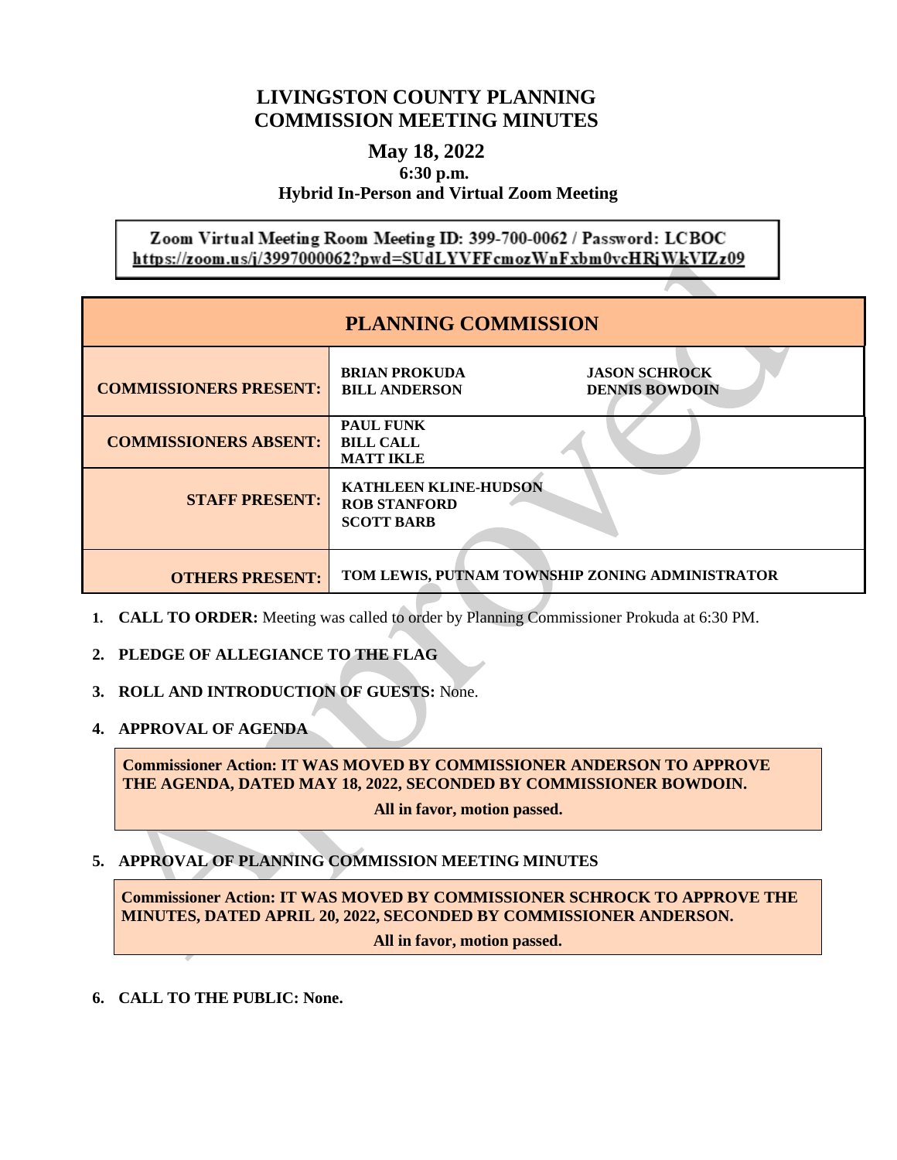# **LIVINGSTON COUNTY PLANNING COMMISSION MEETING MINUTES**

## **May 18, 2022 6:30 p.m. Hybrid In-Person and Virtual Zoom Meeting**

Zoom Virtual Meeting Room Meeting ID: 399-700-0062 / Password: LCBOC https://zoom.us/j/3997000062?pwd=SUdLYVFFcmozWnFxbm0vcHRjWkVIZz09

| <b>PLANNING COMMISSION</b>    |                                                                                               |
|-------------------------------|-----------------------------------------------------------------------------------------------|
| <b>COMMISSIONERS PRESENT:</b> | <b>BRIAN PROKUDA</b><br><b>JASON SCHROCK</b><br><b>BILL ANDERSON</b><br><b>DENNIS BOWDOIN</b> |
| <b>COMMISSIONERS ABSENT:</b>  | <b>PAUL FUNK</b><br><b>BILL CALL</b><br><b>MATT IKLE</b>                                      |
| <b>STAFF PRESENT:</b>         | <b>KATHLEEN KLINE-HUDSON</b><br><b>ROB STANFORD</b><br><b>SCOTT BARB</b>                      |
| <b>OTHERS PRESENT:</b>        | TOM LEWIS, PUTNAM TOWNSHIP ZONING ADMINISTRATOR                                               |

- **1. CALL TO ORDER:** Meeting was called to order by Planning Commissioner Prokuda at 6:30 PM.
- **2. PLEDGE OF ALLEGIANCE TO THE FLAG**
- **3. ROLL AND INTRODUCTION OF GUESTS:** None.
- **4. APPROVAL OF AGENDA**

**Commissioner Action: IT WAS MOVED BY COMMISSIONER ANDERSON TO APPROVE THE AGENDA, DATED MAY 18, 2022, SECONDED BY COMMISSIONER BOWDOIN.** 

**All in favor, motion passed.**

**5. APPROVAL OF PLANNING COMMISSION MEETING MINUTES**

**Commissioner Action: IT WAS MOVED BY COMMISSIONER SCHROCK TO APPROVE THE MINUTES, DATED APRIL 20, 2022, SECONDED BY COMMISSIONER ANDERSON.**

**All in favor, motion passed.**

**6. CALL TO THE PUBLIC: None.**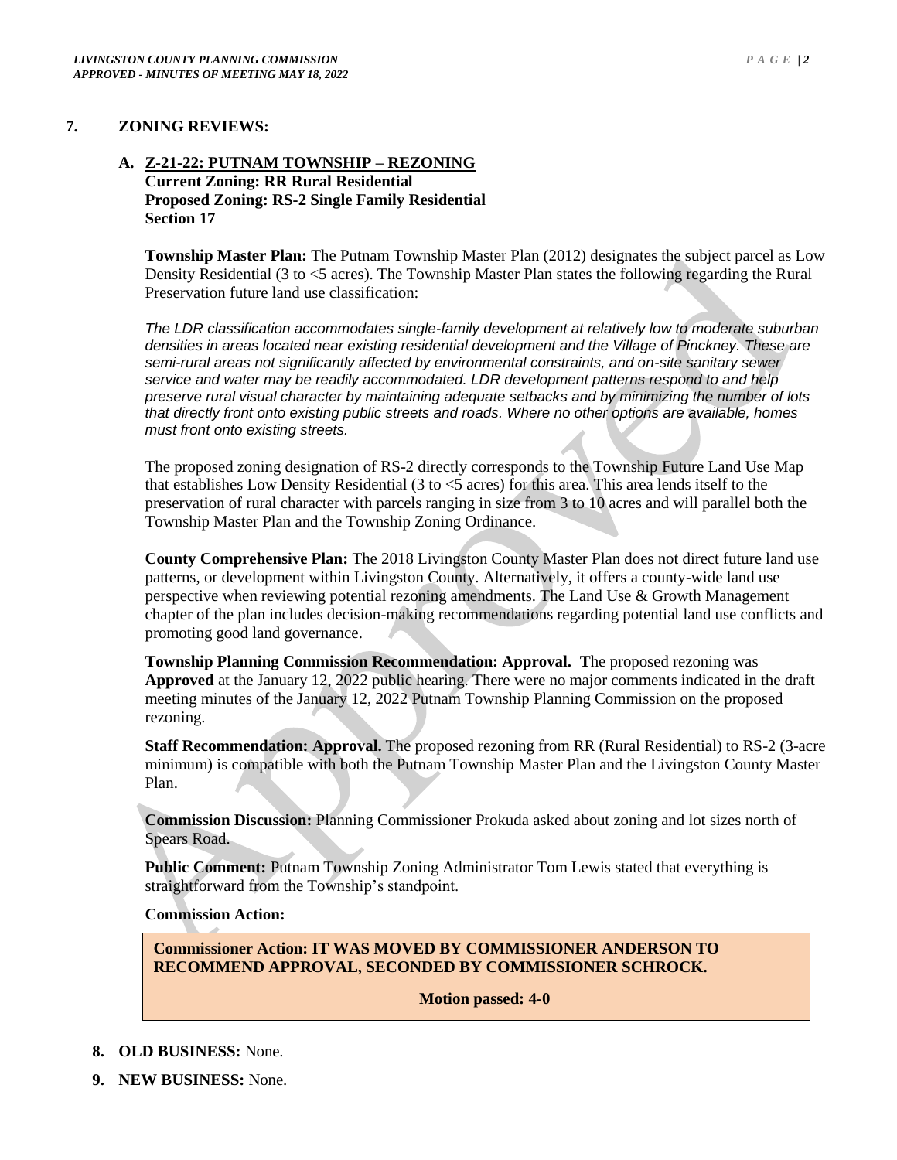#### **7. ZONING REVIEWS:**

#### **A. Z-21-22: PUTNAM TOWNSHIP – REZONING Current Zoning: RR Rural Residential Proposed Zoning: RS-2 Single Family Residential Section 17**

**Township Master Plan:** The Putnam Township Master Plan (2012) designates the subject parcel as Low Density Residential (3 to <5 acres). The Township Master Plan states the following regarding the Rural Preservation future land use classification:

*The LDR classification accommodates single-family development at relatively low to moderate suburban densities in areas located near existing residential development and the Village of Pinckney. These are semi-rural areas not significantly affected by environmental constraints, and on-site sanitary sewer service and water may be readily accommodated. LDR development patterns respond to and help preserve rural visual character by maintaining adequate setbacks and by minimizing the number of lots that directly front onto existing public streets and roads. Where no other options are available, homes must front onto existing streets.*

The proposed zoning designation of RS-2 directly corresponds to the Township Future Land Use Map that establishes Low Density Residential (3 to <5 acres) for this area. This area lends itself to the preservation of rural character with parcels ranging in size from 3 to 10 acres and will parallel both the Township Master Plan and the Township Zoning Ordinance.

**County Comprehensive Plan:** The 2018 Livingston County Master Plan does not direct future land use patterns, or development within Livingston County. Alternatively, it offers a county-wide land use perspective when reviewing potential rezoning amendments. The Land Use & Growth Management chapter of the plan includes decision-making recommendations regarding potential land use conflicts and promoting good land governance.

**Township Planning Commission Recommendation: Approval. T**he proposed rezoning was **Approved** at the January 12, 2022 public hearing. There were no major comments indicated in the draft meeting minutes of the January 12, 2022 Putnam Township Planning Commission on the proposed rezoning.

**Staff Recommendation: Approval.** The proposed rezoning from RR (Rural Residential) to RS-2 (3-acre minimum) is compatible with both the Putnam Township Master Plan and the Livingston County Master Plan.

**Commission Discussion:** Planning Commissioner Prokuda asked about zoning and lot sizes north of Spears Road.

**Public Comment:** Putnam Township Zoning Administrator Tom Lewis stated that everything is straightforward from the Township's standpoint.

#### **Commission Action:**

**Commissioner Action: IT WAS MOVED BY COMMISSIONER ANDERSON TO RECOMMEND APPROVAL, SECONDED BY COMMISSIONER SCHROCK.**

**Motion passed: 4-0**

**8. OLD BUSINESS:** None.

**9. NEW BUSINESS:** None.